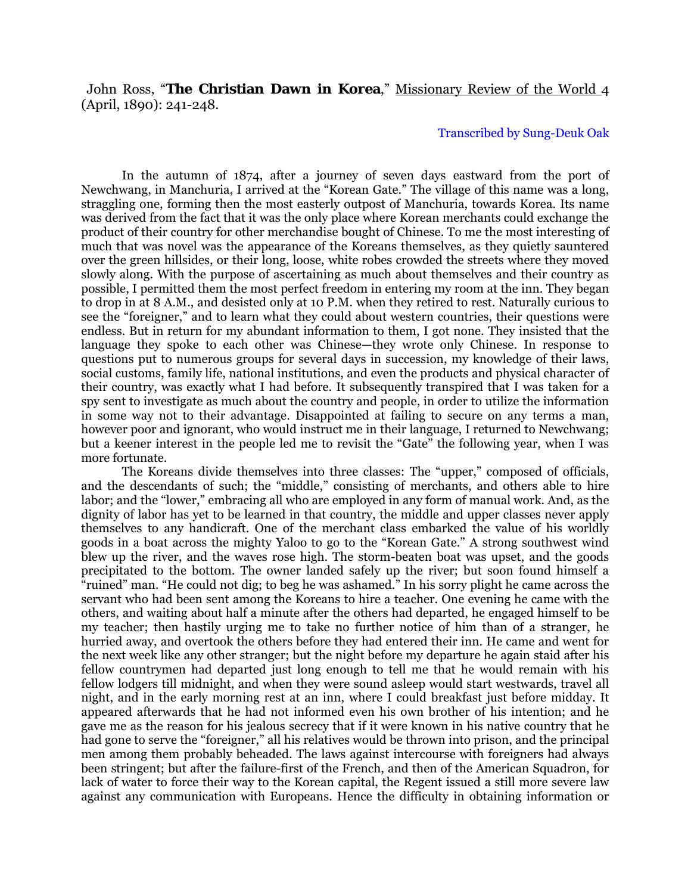## John Ross, "**The Christian Dawn in Korea**," Missionary Review of the World 4 (April, 1890): 241-248.

## Transcribed by Sung-Deuk Oak

In the autumn of 1874, after a journey of seven days eastward from the port of Newchwang, in Manchuria, I arrived at the "Korean Gate." The village of this name was a long, straggling one, forming then the most easterly outpost of Manchuria, towards Korea. Its name was derived from the fact that it was the only place where Korean merchants could exchange the product of their country for other merchandise bought of Chinese. To me the most interesting of much that was novel was the appearance of the Koreans themselves, as they quietly sauntered over the green hillsides, or their long, loose, white robes crowded the streets where they moved slowly along. With the purpose of ascertaining as much about themselves and their country as possible, I permitted them the most perfect freedom in entering my room at the inn. They began to drop in at 8 A.M., and desisted only at 10 P.M. when they retired to rest. Naturally curious to see the "foreigner," and to learn what they could about western countries, their questions were endless. But in return for my abundant information to them, I got none. They insisted that the language they spoke to each other was Chinese—they wrote only Chinese. In response to questions put to numerous groups for several days in succession, my knowledge of their laws, social customs, family life, national institutions, and even the products and physical character of their country, was exactly what I had before. It subsequently transpired that I was taken for a spy sent to investigate as much about the country and people, in order to utilize the information in some way not to their advantage. Disappointed at failing to secure on any terms a man, however poor and ignorant, who would instruct me in their language, I returned to Newchwang; but a keener interest in the people led me to revisit the "Gate" the following year, when I was more fortunate.

The Koreans divide themselves into three classes: The "upper," composed of officials, and the descendants of such; the "middle," consisting of merchants, and others able to hire labor; and the "lower," embracing all who are employed in any form of manual work. And, as the dignity of labor has yet to be learned in that country, the middle and upper classes never apply themselves to any handicraft. One of the merchant class embarked the value of his worldly goods in a boat across the mighty Yaloo to go to the "Korean Gate." A strong southwest wind blew up the river, and the waves rose high. The storm-beaten boat was upset, and the goods precipitated to the bottom. The owner landed safely up the river; but soon found himself a "ruined" man. "He could not dig; to beg he was ashamed." In his sorry plight he came across the servant who had been sent among the Koreans to hire a teacher. One evening he came with the others, and waiting about half a minute after the others had departed, he engaged himself to be my teacher; then hastily urging me to take no further notice of him than of a stranger, he hurried away, and overtook the others before they had entered their inn. He came and went for the next week like any other stranger; but the night before my departure he again staid after his fellow countrymen had departed just long enough to tell me that he would remain with his fellow lodgers till midnight, and when they were sound asleep would start westwards, travel all night, and in the early morning rest at an inn, where I could breakfast just before midday. It appeared afterwards that he had not informed even his own brother of his intention; and he gave me as the reason for his jealous secrecy that if it were known in his native country that he had gone to serve the "foreigner," all his relatives would be thrown into prison, and the principal men among them probably beheaded. The laws against intercourse with foreigners had always been stringent; but after the failure-first of the French, and then of the American Squadron, for lack of water to force their way to the Korean capital, the Regent issued a still more severe law against any communication with Europeans. Hence the difficulty in obtaining information or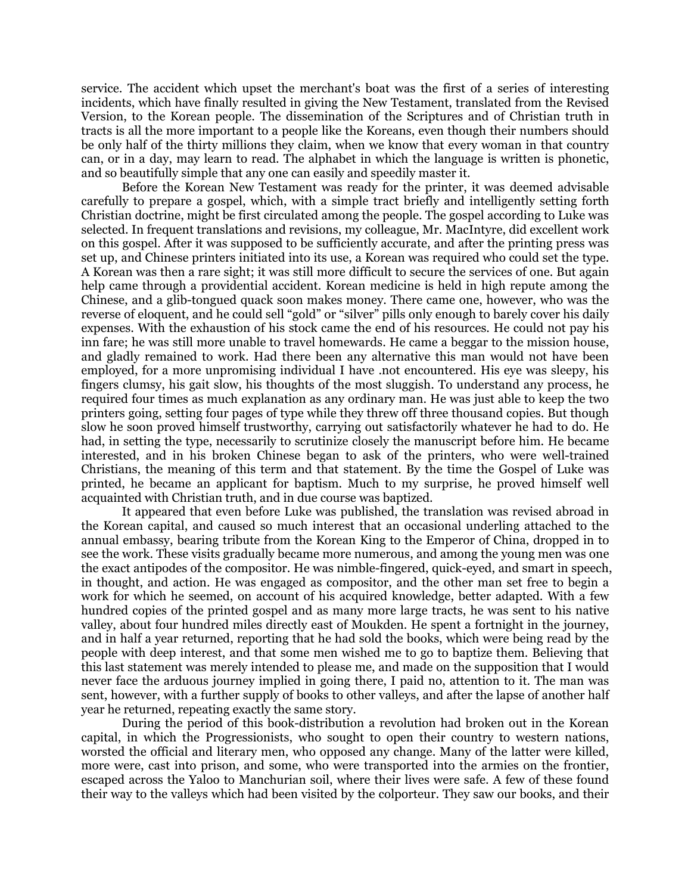service. The accident which upset the merchant's boat was the first of a series of interesting incidents, which have finally resulted in giving the New Testament, translated from the Revised Version, to the Korean people. The dissemination of the Scriptures and of Christian truth in tracts is all the more important to a people like the Koreans, even though their numbers should be only half of the thirty millions they claim, when we know that every woman in that country can, or in a day, may learn to read. The alphabet in which the language is written is phonetic, and so beautifully simple that any one can easily and speedily master it.

Before the Korean New Testament was ready for the printer, it was deemed advisable carefully to prepare a gospel, which, with a simple tract briefly and intelligently setting forth Christian doctrine, might be first circulated among the people. The gospel according to Luke was selected. In frequent translations and revisions, my colleague, Mr. MacIntyre, did excellent work on this gospel. After it was supposed to be sufficiently accurate, and after the printing press was set up, and Chinese printers initiated into its use, a Korean was required who could set the type. A Korean was then a rare sight; it was still more difficult to secure the services of one. But again help came through a providential accident. Korean medicine is held in high repute among the Chinese, and a glib-tongued quack soon makes money. There came one, however, who was the reverse of eloquent, and he could sell "gold" or "silver" pills only enough to barely cover his daily expenses. With the exhaustion of his stock came the end of his resources. He could not pay his inn fare; he was still more unable to travel homewards. He came a beggar to the mission house, and gladly remained to work. Had there been any alternative this man would not have been employed, for a more unpromising individual I have .not encountered. His eye was sleepy, his fingers clumsy, his gait slow, his thoughts of the most sluggish. To understand any process, he required four times as much explanation as any ordinary man. He was just able to keep the two printers going, setting four pages of type while they threw off three thousand copies. But though slow he soon proved himself trustworthy, carrying out satisfactorily whatever he had to do. He had, in setting the type, necessarily to scrutinize closely the manuscript before him. He became interested, and in his broken Chinese began to ask of the printers, who were well-trained Christians, the meaning of this term and that statement. By the time the Gospel of Luke was printed, he became an applicant for baptism. Much to my surprise, he proved himself well acquainted with Christian truth, and in due course was baptized.

It appeared that even before Luke was published, the translation was revised abroad in the Korean capital, and caused so much interest that an occasional underling attached to the annual embassy, bearing tribute from the Korean King to the Emperor of China, dropped in to see the work. These visits gradually became more numerous, and among the young men was one the exact antipodes of the compositor. He was nimble-fingered, quick-eyed, and smart in speech, in thought, and action. He was engaged as compositor, and the other man set free to begin a work for which he seemed, on account of his acquired knowledge, better adapted. With a few hundred copies of the printed gospel and as many more large tracts, he was sent to his native valley, about four hundred miles directly east of Moukden. He spent a fortnight in the journey, and in half a year returned, reporting that he had sold the books, which were being read by the people with deep interest, and that some men wished me to go to baptize them. Believing that this last statement was merely intended to please me, and made on the supposition that I would never face the arduous journey implied in going there, I paid no, attention to it. The man was sent, however, with a further supply of books to other valleys, and after the lapse of another half year he returned, repeating exactly the same story.

During the period of this book-distribution a revolution had broken out in the Korean capital, in which the Progressionists, who sought to open their country to western nations, worsted the official and literary men, who opposed any change. Many of the latter were killed, more were, cast into prison, and some, who were transported into the armies on the frontier, escaped across the Yaloo to Manchurian soil, where their lives were safe. A few of these found their way to the valleys which had been visited by the colporteur. They saw our books, and their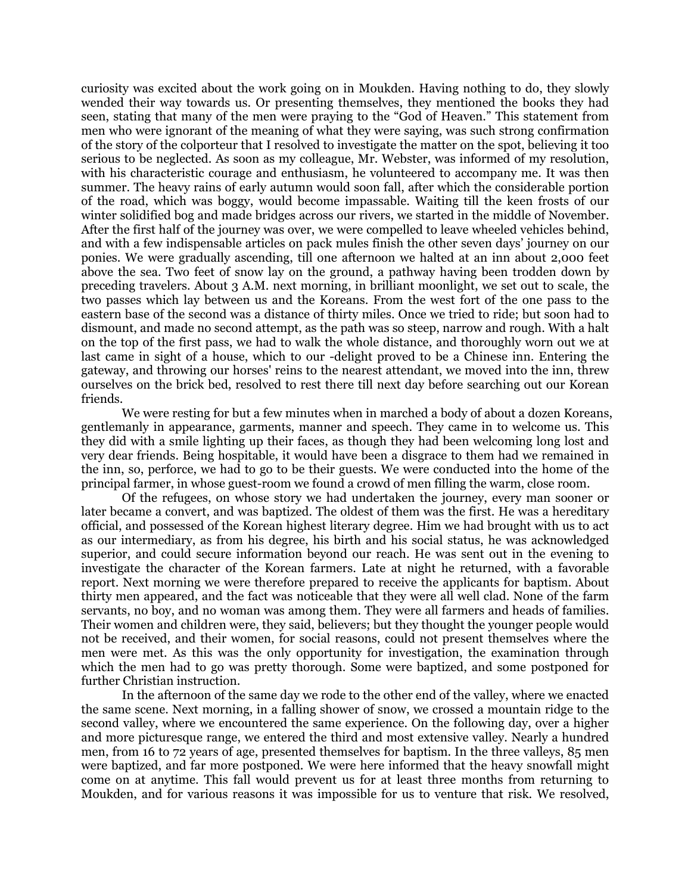curiosity was excited about the work going on in Moukden. Having nothing to do, they slowly wended their way towards us. Or presenting themselves, they mentioned the books they had seen, stating that many of the men were praying to the "God of Heaven." This statement from men who were ignorant of the meaning of what they were saying, was such strong confirmation of the story of the colporteur that I resolved to investigate the matter on the spot, believing it too serious to be neglected. As soon as my colleague, Mr. Webster, was informed of my resolution, with his characteristic courage and enthusiasm, he volunteered to accompany me. It was then summer. The heavy rains of early autumn would soon fall, after which the considerable portion of the road, which was boggy, would become impassable. Waiting till the keen frosts of our winter solidified bog and made bridges across our rivers, we started in the middle of November. After the first half of the journey was over, we were compelled to leave wheeled vehicles behind, and with a few indispensable articles on pack mules finish the other seven days' journey on our ponies. We were gradually ascending, till one afternoon we halted at an inn about 2,000 feet above the sea. Two feet of snow lay on the ground, a pathway having been trodden down by preceding travelers. About 3 A.M. next morning, in brilliant moonlight, we set out to scale, the two passes which lay between us and the Koreans. From the west fort of the one pass to the eastern base of the second was a distance of thirty miles. Once we tried to ride; but soon had to dismount, and made no second attempt, as the path was so steep, narrow and rough. With a halt on the top of the first pass, we had to walk the whole distance, and thoroughly worn out we at last came in sight of a house, which to our -delight proved to be a Chinese inn. Entering the gateway, and throwing our horses' reins to the nearest attendant, we moved into the inn, threw ourselves on the brick bed, resolved to rest there till next day before searching out our Korean friends.

We were resting for but a few minutes when in marched a body of about a dozen Koreans, gentlemanly in appearance, garments, manner and speech. They came in to welcome us. This they did with a smile lighting up their faces, as though they had been welcoming long lost and very dear friends. Being hospitable, it would have been a disgrace to them had we remained in the inn, so, perforce, we had to go to be their guests. We were conducted into the home of the principal farmer, in whose guest-room we found a crowd of men filling the warm, close room.

Of the refugees, on whose story we had undertaken the journey, every man sooner or later became a convert, and was baptized. The oldest of them was the first. He was a hereditary official, and possessed of the Korean highest literary degree. Him we had brought with us to act as our intermediary, as from his degree, his birth and his social status, he was acknowledged superior, and could secure information beyond our reach. He was sent out in the evening to investigate the character of the Korean farmers. Late at night he returned, with a favorable report. Next morning we were therefore prepared to receive the applicants for baptism. About thirty men appeared, and the fact was noticeable that they were all well clad. None of the farm servants, no boy, and no woman was among them. They were all farmers and heads of families. Their women and children were, they said, believers; but they thought the younger people would not be received, and their women, for social reasons, could not present themselves where the men were met. As this was the only opportunity for investigation, the examination through which the men had to go was pretty thorough. Some were baptized, and some postponed for further Christian instruction.

In the afternoon of the same day we rode to the other end of the valley, where we enacted the same scene. Next morning, in a falling shower of snow, we crossed a mountain ridge to the second valley, where we encountered the same experience. On the following day, over a higher and more picturesque range, we entered the third and most extensive valley. Nearly a hundred men, from 16 to 72 years of age, presented themselves for baptism. In the three valleys, 85 men were baptized, and far more postponed. We were here informed that the heavy snowfall might come on at anytime. This fall would prevent us for at least three months from returning to Moukden, and for various reasons it was impossible for us to venture that risk. We resolved,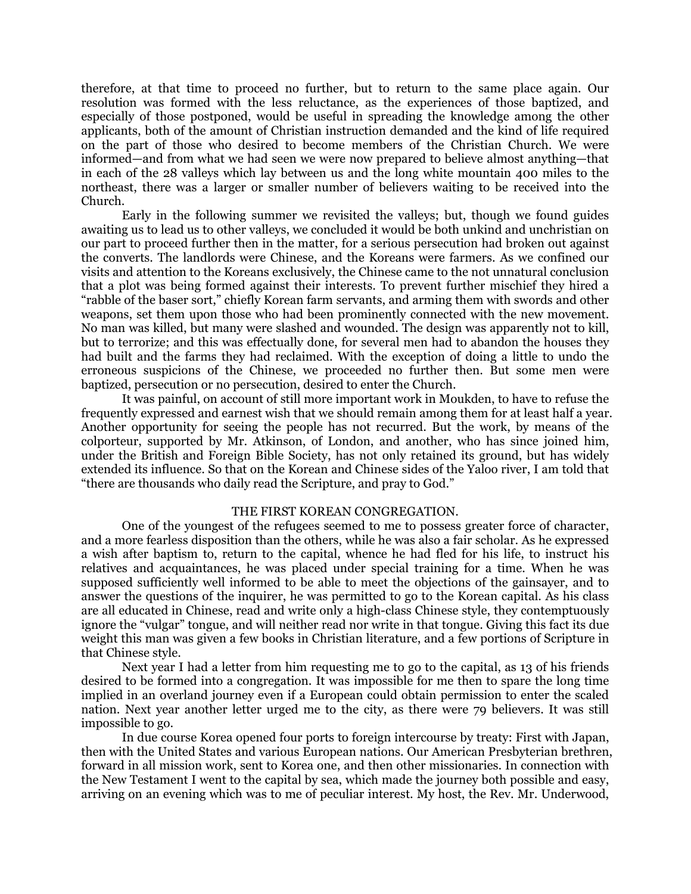therefore, at that time to proceed no further, but to return to the same place again. Our resolution was formed with the less reluctance, as the experiences of those baptized, and especially of those postponed, would be useful in spreading the knowledge among the other applicants, both of the amount of Christian instruction demanded and the kind of life required on the part of those who desired to become members of the Christian Church. We were informed—and from what we had seen we were now prepared to believe almost anything—that in each of the 28 valleys which lay between us and the long white mountain 400 miles to the northeast, there was a larger or smaller number of believers waiting to be received into the Church.

Early in the following summer we revisited the valleys; but, though we found guides awaiting us to lead us to other valleys, we concluded it would be both unkind and unchristian on our part to proceed further then in the matter, for a serious persecution had broken out against the converts. The landlords were Chinese, and the Koreans were farmers. As we confined our visits and attention to the Koreans exclusively, the Chinese came to the not unnatural conclusion that a plot was being formed against their interests. To prevent further mischief they hired a "rabble of the baser sort," chiefly Korean farm servants, and arming them with swords and other weapons, set them upon those who had been prominently connected with the new movement. No man was killed, but many were slashed and wounded. The design was apparently not to kill, but to terrorize; and this was effectually done, for several men had to abandon the houses they had built and the farms they had reclaimed. With the exception of doing a little to undo the erroneous suspicions of the Chinese, we proceeded no further then. But some men were baptized, persecution or no persecution, desired to enter the Church.

It was painful, on account of still more important work in Moukden, to have to refuse the frequently expressed and earnest wish that we should remain among them for at least half a year. Another opportunity for seeing the people has not recurred. But the work, by means of the colporteur, supported by Mr. Atkinson, of London, and another, who has since joined him, under the British and Foreign Bible Society, has not only retained its ground, but has widely extended its influence. So that on the Korean and Chinese sides of the Yaloo river, I am told that "there are thousands who daily read the Scripture, and pray to God."

## THE FIRST KOREAN CONGREGATION.

One of the youngest of the refugees seemed to me to possess greater force of character, and a more fearless disposition than the others, while he was also a fair scholar. As he expressed a wish after baptism to, return to the capital, whence he had fled for his life, to instruct his relatives and acquaintances, he was placed under special training for a time. When he was supposed sufficiently well informed to be able to meet the objections of the gainsayer, and to answer the questions of the inquirer, he was permitted to go to the Korean capital. As his class are all educated in Chinese, read and write only a high-class Chinese style, they contemptuously ignore the "vulgar" tongue, and will neither read nor write in that tongue. Giving this fact its due weight this man was given a few books in Christian literature, and a few portions of Scripture in that Chinese style.

Next year I had a letter from him requesting me to go to the capital, as 13 of his friends desired to be formed into a congregation. It was impossible for me then to spare the long time implied in an overland journey even if a European could obtain permission to enter the scaled nation. Next year another letter urged me to the city, as there were 79 believers. It was still impossible to go.

In due course Korea opened four ports to foreign intercourse by treaty: First with Japan, then with the United States and various European nations. Our American Presbyterian brethren, forward in all mission work, sent to Korea one, and then other missionaries. In connection with the New Testament I went to the capital by sea, which made the journey both possible and easy, arriving on an evening which was to me of peculiar interest. My host, the Rev. Mr. Underwood,